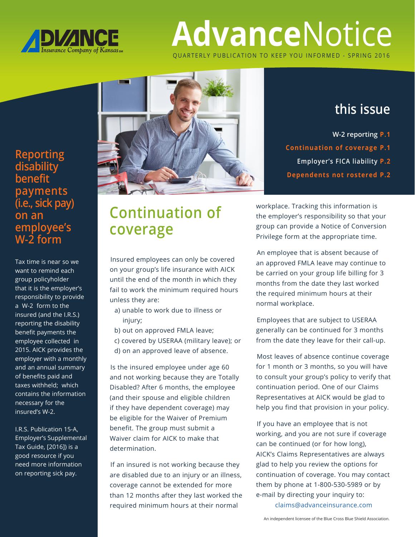

# **Advance**Notice QUARTERLY PUBLICATION TO KEEP YOU INFORMED - SPRING 2016

**Reporting disability benefit payments (i.e., sick pay) on an employee's W-2 form**

Tax time is near so we want to remind each group policyholder that it is the employer's responsibility to provide a W-2 form to the insured (and the I.R.S.) reporting the disability benefit payments the employee collected in 2015. AICK provides the employer with a monthly and an annual summary of benefits paid and taxes withheld; which contains the information necessary for the insured's W-2.

I.R.S. Publication 15-A, Employer's Supplemental Tax Guide, [2016]) is a good resource if you need more information on reporting sick pay.



#### **this issue**

**W-2 reporting P.1 Continuation of coverage P.1 Employer's FICA liability P.2 Dependents not rostered P.2**

## **Continuation of coverage**

Insured employees can only be covered on your group's life insurance with AICK until the end of the month in which they fail to work the minimum required hours unless they are:

- a) unable to work due to illness or injury;
- b) out on approved FMLA leave;

 c) covered by USERAA (military leave); or d) on an approved leave of absence.

Is the insured employee under age 60 and not working because they are Totally Disabled? After 6 months, the employee (and their spouse and eligible children if they have dependent coverage) may be eligible for the Waiver of Premium benefit. The group must submit a Waiver claim for AICK to make that determination.

If an insured is not working because they are disabled due to an injury or an illness, coverage cannot be extended for more than 12 months after they last worked the required minimum hours at their normal

workplace. Tracking this information is the employer's responsibility so that your group can provide a Notice of Conversion Privilege form at the appropriate time.

An employee that is absent because of an approved FMLA leave may continue to be carried on your group life billing for 3 months from the date they last worked the required minimum hours at their normal workplace.

Employees that are subject to USERAA generally can be continued for 3 months from the date they leave for their call-up.

Most leaves of absence continue coverage for 1 month or 3 months, so you will have to consult your group's policy to verify that continuation period. One of our Claims Representatives at AICK would be glad to help you find that provision in your policy.

If you have an employee that is not working, and you are not sure if coverage can be continued (or for how long), AICK's Claims Representatives are always glad to help you review the options for continuation of coverage. You may contact them by phone at 1-800-530-5989 or by e-mail by directing your inquiry to:

claims@advanceinsurance.com